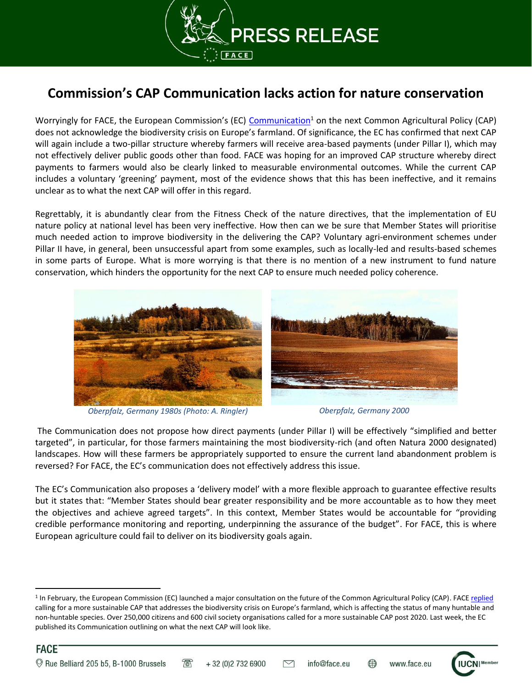

## **Commission's CAP Communication lacks action for nature conservation**

Worryingly for FACE, the European Commission's (EC) [Communication](https://ec.europa.eu/agriculture/sites/agriculture/files/future-of-cap/future_of_food_and_farming_communication_en.pdf)<sup>1</sup> on the next Common Agricultural Policy (CAP) does not acknowledge the biodiversity crisis on Europe's farmland. Of significance, the EC has confirmed that next CAP will again include a two-pillar structure whereby farmers will receive area-based payments (under Pillar I), which may not effectively deliver public goods other than food. FACE was hoping for an improved CAP structure whereby direct payments to farmers would also be clearly linked to measurable environmental outcomes. While the current CAP includes a voluntary 'greening' payment, most of the evidence shows that this has been ineffective, and it remains unclear as to what the next CAP will offer in this regard.

Regrettably, it is abundantly clear from the Fitness Check of the nature directives, that the implementation of EU nature policy at national level has been very ineffective. How then can we be sure that Member States will prioritise much needed action to improve biodiversity in the delivering the CAP? Voluntary agri-environment schemes under Pillar II have, in general, been unsuccessful apart from some examples, such as locally-led and results-based schemes in some parts of Europe. What is more worrying is that there is no mention of a new instrument to fund nature conservation, which hinders the opportunity for the next CAP to ensure much needed policy coherence.



*Oberpfalz, Germany 1980s (Photo: A. Ringler) Oberpfalz, Germany 2000*

The Communication does not propose how direct payments (under Pillar I) will be effectively "simplified and better targeted", in particular, for those farmers maintaining the most biodiversity-rich (and often Natura 2000 designated) landscapes. How will these farmers be appropriately supported to ensure the current land abandonment problem is reversed? For FACE, the EC's communication does not effectively address this issue.

The EC's Communication also proposes a 'delivery model' with a more flexible approach to guarantee effective results but it states that: "Member States should bear greater responsibility and be more accountable as to how they meet the objectives and achieve agreed targets". In this context, Member States would be accountable for "providing credible performance monitoring and reporting, underpinning the assurance of the budget". For FACE, this is where European agriculture could fail to deliver on its biodiversity goals again.

<sup>&</sup>lt;sup>1</sup> In February, the European Commission (EC) launched a major consultation on the future of the Common Agricultural Policy (CAP). FACE <u>replied</u> calling for a more sustainable CAP that addresses the biodiversity crisis on Europe's farmland, which is affecting the status of many huntable and non-huntable species. Over 250,000 citizens and 600 civil society organisations called for a more sustainable CAP post 2020. Last week, the EC published its Communication outlining on what the next CAP will look like.



l

**FACE** 

 $\mathcal{T}$ 

www.face.eu